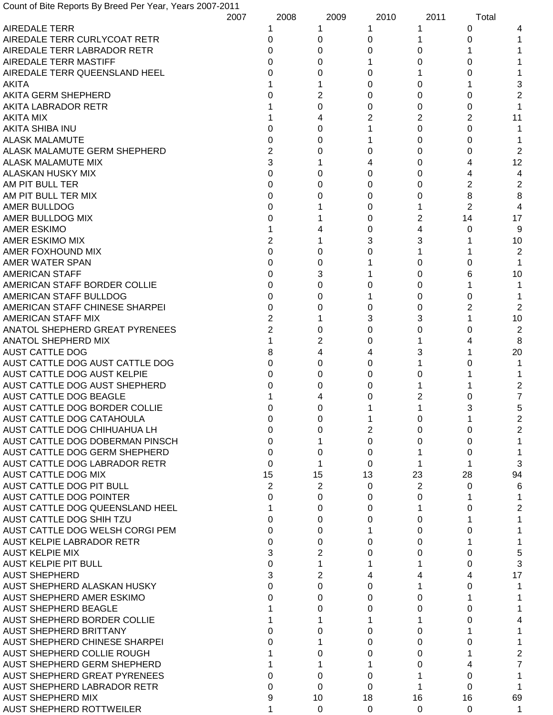Count of Bite Reports By Breed Per Year, Years 2007-2011

|                                      | 2007 | 2008     | 2009 | 2010 | 2011 | Total          |    |
|--------------------------------------|------|----------|------|------|------|----------------|----|
| <b>AIREDALE TERR</b>                 |      |          |      |      |      | 0              |    |
| AIREDALE TERR CURLYCOAT RETR         |      | 0        | 0    | Ω    |      |                |    |
| AIREDALE TERR LABRADOR RETR          |      | 0        | 0    | 0    | 0    |                |    |
| AIREDALE TERR MASTIFF                |      | ი        | 0    |      | 0    | 0              |    |
| AIREDALE TERR QUEENSLAND HEEL        |      | ი        | 0    | O    |      |                |    |
| <b>AKITA</b>                         |      |          |      | Ω    | 0    |                | 3  |
| <b>AKITA GERM SHEPHERD</b>           |      |          | 2    | Ω    | 0    | 0              | 2  |
| <b>AKITA LABRADOR RETR</b>           |      |          | 0    | Ω    | 0    | 0              |    |
| <b>AKITA MIX</b>                     |      |          | 4    | 2    | 2    | 2              | 11 |
| AKITA SHIBA INU                      |      |          | 0    |      | 0    | 0              |    |
|                                      |      |          |      |      |      |                |    |
| <b>ALASK MALAMUTE</b>                |      | 0        | 0    |      | 0    | 0              |    |
| ALASK MALAMUTE GERM SHEPHERD         |      |          | 0    |      | 0    | 0              | 2  |
| <b>ALASK MALAMUTE MIX</b>            |      | 3        |      |      | 0    |                | 12 |
| ALASKAN HUSKY MIX                    |      | 0        | 0    | Ω    | 0    |                |    |
| AM PIT BULL TER                      |      | 0        | 0    | Ω    | 0    | 2              | 2  |
| AM PIT BULL TER MIX                  |      | 0        | 0    | O    | 0    | 8              | 8  |
| AMER BULLDOG                         |      | 0        |      | Ω    |      | $\overline{2}$ | 4  |
| AMER BULLDOG MIX                     |      | U        |      | 0    | 2    | 14             | 17 |
| <b>AMER ESKIMO</b>                   |      |          |      | 0    |      | 0              | 9  |
| AMER ESKIMO MIX                      |      |          |      | 3    | 3    |                | 10 |
| AMER FOXHOUND MIX                    |      | 0        | 0    |      |      |                | 2  |
| AMER WATER SPAN                      |      | 0        | 0    |      | 0    |                |    |
| <b>AMERICAN STAFF</b>                |      | 0        | 3    |      | 0    |                | 10 |
| AMERICAN STAFF BORDER COLLIE         |      | 0        | 0    |      | 0    |                |    |
| AMERICAN STAFF BULLDOG               |      | 0        | 0    |      | 0    | Ω              |    |
| AMERICAN STAFF CHINESE SHARPEI       |      | 0        | 0    |      | 0    | 2              | 2  |
| <b>AMERICAN STAFF MIX</b>            |      | 2        |      | З    | 3    |                | 10 |
| ANATOL SHEPHERD GREAT PYRENEES       |      | 2        | 0    | O    | 0    |                | 2  |
| <b>ANATOL SHEPHERD MIX</b>           |      |          | 2    | Ω    |      |                | 8  |
| <b>AUST CATTLE DOG</b>               |      |          | 4    |      | 3    |                | 20 |
| AUST CATTLE DOG AUST CATTLE DOG      |      | 0        | 0    | Ω    |      |                |    |
| AUST CATTLE DOG AUST KELPIE          |      | U        |      |      |      |                |    |
|                                      |      |          | 0    |      | O    |                |    |
| AUST CATTLE DOG AUST SHEPHERD        |      |          | 0    |      |      |                | 2  |
| <b>AUST CATTLE DOG BEAGLE</b>        |      |          |      |      |      |                | 7  |
| AUST CATTLE DOG BORDER COLLIE        |      |          | 0    |      |      | 3              | 5  |
| AUST CATTLE DOG CATAHOULA            |      |          |      |      |      |                |    |
| AUST CATTLE DOG CHIHUAHUA LH         |      | 0        | 0    | 2    | 0    | 0              | 2  |
| AUST CATTLE DOG DOBERMAN PINSCH      |      | 0        |      | 0    | 0    | 0              |    |
| AUST CATTLE DOG GERM SHEPHERD        |      | 0        | 0    | 0    |      | 0              |    |
| AUST CATTLE DOG LABRADOR RETR        |      | $\Omega$ |      | 0    |      |                | 3  |
| AUST CATTLE DOG MIX                  |      | 15       | 15   | 13   | 23   | 28             | 94 |
| AUST CATTLE DOG PIT BULL             |      | 2        | 2    | 0    | 2    | 0              | 6  |
| <b>AUST CATTLE DOG POINTER</b>       |      | 0        | 0    | 0    | 0    |                |    |
| AUST CATTLE DOG QUEENSLAND HEEL      |      |          | 0    | O    |      |                | 2  |
| AUST CATTLE DOG SHIH TZU             |      | O        | 0    |      | 0    |                |    |
| AUST CATTLE DOG WELSH CORGI PEM      |      | 0        | 0    |      | 0    |                |    |
| AUST KELPIE LABRADOR RETR            |      | 0        | 0    |      | 0    |                |    |
| <b>AUST KELPIE MIX</b>               |      |          |      |      | 0    |                | 5  |
| <b>AUST KELPIE PIT BULL</b>          |      | 0        |      |      |      | O              | 3  |
| <b>AUST SHEPHERD</b>                 |      |          | 2    |      |      |                | 17 |
| AUST SHEPHERD ALASKAN HUSKY          |      | 0        | 0    |      |      |                |    |
| AUST SHEPHERD AMER ESKIMO            |      | U        | 0    | Ω    | O    |                |    |
| <b>AUST SHEPHERD BEAGLE</b>          |      |          | 0    | O    | 0    |                |    |
| AUST SHEPHERD BORDER COLLIE          |      |          |      |      |      |                |    |
| <b>AUST SHEPHERD BRITTANY</b>        |      |          | 0    | Ω    | 0    |                |    |
| <b>AUST SHEPHERD CHINESE SHARPEI</b> |      |          |      | Ω    | 0    |                |    |
| AUST SHEPHERD COLLIE ROUGH           |      |          |      |      |      | O              |    |
|                                      |      |          | 0    | Ω    | 0    |                | 2  |
| AUST SHEPHERD GERM SHEPHERD          |      |          |      |      | 0    |                | 7  |
| AUST SHEPHERD GREAT PYRENEES         |      | 0        | 0    | 0    |      | 0              |    |
| AUST SHEPHERD LABRADOR RETR          |      | U        | 0    | 0    |      | 0              |    |
| <b>AUST SHEPHERD MIX</b>             |      | 9        | 10   | 18   | 16   | 16             | 69 |
| <b>AUST SHEPHERD ROTTWEILER</b>      |      |          | 0    | 0    | 0    | 0              | 1  |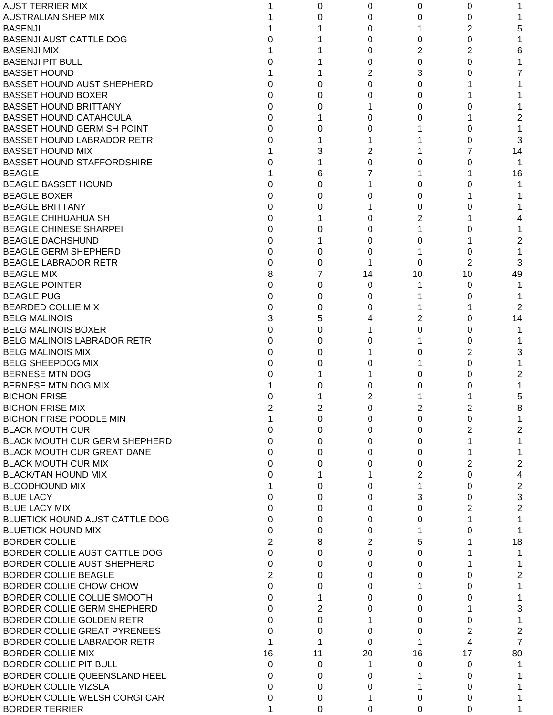| <b>AUST TERRIER MIX</b>              |                | 0        | 0        | 0  | 0  |                |
|--------------------------------------|----------------|----------|----------|----|----|----------------|
| <b>AUSTRALIAN SHEP MIX</b>           |                | 0        | 0        | 0  | 0  |                |
| <b>BASENJI</b>                       |                |          | 0        |    | 2  | 5              |
| <b>BASENJI AUST CATTLE DOG</b>       |                |          | 0        | 0  | 0  |                |
| <b>BASENJI MIX</b>                   |                |          | 0        | 2  | 2  | 6              |
| <b>BASENJI PIT BULL</b>              |                |          | 0        | 0  | 0  |                |
| <b>BASSET HOUND</b>                  |                |          | 2        | 3  | 0  |                |
| <b>BASSET HOUND AUST SHEPHERD</b>    | O              | 0        | 0        | 0  |    |                |
| <b>BASSET HOUND BOXER</b>            | 0              | 0        | 0        | 0  |    |                |
| <b>BASSET HOUND BRITTANY</b>         | 0              | 0        |          | 0  | 0  |                |
| <b>BASSET HOUND CATAHOULA</b>        | 0              |          | 0        | 0  |    |                |
| BASSET HOUND GERM SH POINT           | 0              | 0        | ი        |    | 0  |                |
| <b>BASSET HOUND LABRADOR RETR</b>    | 0              |          |          |    | 0  | 3              |
| <b>BASSET HOUND MIX</b>              |                | 3        | 2        |    |    | 14             |
| <b>BASSET HOUND STAFFORDSHIRE</b>    |                |          | 0        | 0  | 0  |                |
| <b>BEAGLE</b>                        |                | 6        |          |    |    | 16             |
| <b>BEAGLE BASSET HOUND</b>           | O              | 0        |          | 0  | 0  |                |
| <b>BEAGLE BOXER</b>                  | 0              | 0        | 0        | 0  |    |                |
| <b>BEAGLE BRITTANY</b>               | 0              | 0        |          | 0  | 0  |                |
| <b>BEAGLE CHIHUAHUA SH</b>           | 0              |          | 0        | 2  |    |                |
| <b>BEAGLE CHINESE SHARPEI</b>        | 0              | 0        | 0        |    | Ω  |                |
| <b>BEAGLE DACHSHUND</b>              | 0              |          | 0        | 0  |    | 2              |
| <b>BEAGLE GERM SHEPHERD</b>          | 0              | 0        | 0        |    | 0  |                |
| <b>BEAGLE LABRADOR RETR</b>          | 0              | 0        |          | 0  | 2  | 3              |
| <b>BEAGLE MIX</b>                    | 8              | 7        | 14       | 10 | 10 | 49             |
| <b>BEAGLE POINTER</b>                | 0              | 0        | 0        |    | 0  |                |
| <b>BEAGLE PUG</b>                    | 0              | 0        | 0        |    | 0  |                |
| <b>BEARDED COLLIE MIX</b>            | 0              | 0        | 0        |    |    | 2              |
| <b>BELG MALINOIS</b>                 | 3              | 5        |          | 2  | 0  | 14             |
| <b>BELG MALINOIS BOXER</b>           | 0              | 0        |          | 0  | 0  |                |
| BELG MALINOIS LABRADOR RETR          | 0              | 0        | O        |    | 0  |                |
| <b>BELG MALINOIS MIX</b>             | 0              | 0        |          | 0  | 2  | 3              |
| <b>BELG SHEEPDOG MIX</b>             | 0              | 0        |          |    | 0  |                |
| <b>BERNESE MTN DOG</b>               |                |          |          | 0  | 0  | 2              |
| BERNESE MTN DOG MIX                  |                | O        |          | 0  | 0  |                |
| <b>BICHON FRISE</b>                  |                |          | 2        |    |    | 5              |
| <b>BICHON FRISE MIX</b>              |                | 2        | 0        | 2  | 2  | 8              |
| <b>BICHON FRISE POODLE MIN</b>       |                | 0        | 0        | 0  | 0  |                |
| <b>BLACK MOUTH CUR</b>               | 0              | 0        | 0        | 0  | 2  | 2              |
| <b>BLACK MOUTH CUR GERM SHEPHERD</b> | 0              | 0        | 0        | 0  |    |                |
| <b>BLACK MOUTH CUR GREAT DANE</b>    | 0              | 0        | 0        | 0  |    |                |
| <b>BLACK MOUTH CUR MIX</b>           | 0              | 0        | 0        | 0  | 2  | 2              |
| <b>BLACK/TAN HOUND MIX</b>           | 0              |          |          | 2  | 0  | 4              |
| <b>BLOODHOUND MIX</b>                |                | 0        | 0        |    | 0  | 2              |
| <b>BLUE LACY</b>                     | 0              | $\Omega$ | 0        | 3  | 0  | 3              |
| <b>BLUE LACY MIX</b>                 | 0              | $\Omega$ | 0        | 0  | 2  | 2              |
| BLUETICK HOUND AUST CATTLE DOG       | 0              | 0        | 0        | 0  |    |                |
| <b>BLUETICK HOUND MIX</b>            | 0              | 0        | 0        |    | 0  |                |
| <b>BORDER COLLIE</b>                 | $\overline{2}$ | 8        | 2        | 5  |    | 18             |
| BORDER COLLIE AUST CATTLE DOG        | 0              | 0        | 0        | 0  |    |                |
| BORDER COLLIE AUST SHEPHERD          | 0              | 0        | 0        | 0  |    |                |
| <b>BORDER COLLIE BEAGLE</b>          | $\overline{2}$ | 0        | 0        | 0  | 0  | 2              |
| BORDER COLLIE CHOW CHOW              | $\Omega$       | 0        | 0        |    | 0  |                |
| BORDER COLLIE COLLIE SMOOTH          | 0              |          | 0        | 0  | 0  |                |
| BORDER COLLIE GERM SHEPHERD          | 0              | 2        | 0        | 0  |    | 3              |
| BORDER COLLIE GOLDEN RETR            | 0              | 0        |          | 0  | 0  |                |
| BORDER COLLIE GREAT PYRENEES         | 0              | 0        | 0        | 0  | 2  | 2              |
| BORDER COLLIE LABRADOR RETR          |                |          | $\Omega$ |    | 4  | $\overline{7}$ |
| <b>BORDER COLLIE MIX</b>             | 16             | 11       | 20       | 16 | 17 | 80             |
| <b>BORDER COLLIE PIT BULL</b>        | 0              | 0        | 1        | 0  | 0  |                |
| BORDER COLLIE QUEENSLAND HEEL        | 0              | 0        | 0        |    | 0  |                |
| <b>BORDER COLLIE VIZSLA</b>          | 0              | 0        | 0        |    | 0  |                |
| BORDER COLLIE WELSH CORGI CAR        | 0              | 0        |          | 0  | 0  |                |
| <b>BORDER TERRIER</b>                |                | 0        | 0        | 0  | 0  |                |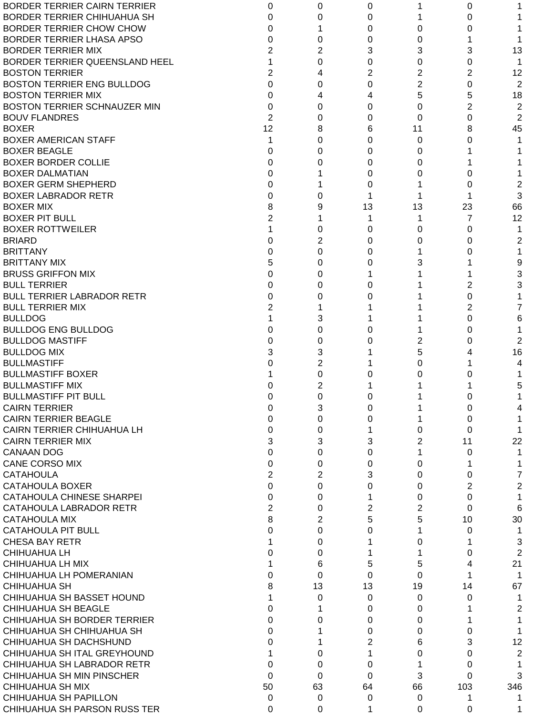| <b>BORDER TERRIER CAIRN TERRIER</b> | 0              | 0              | 0        |                | 0        |                |
|-------------------------------------|----------------|----------------|----------|----------------|----------|----------------|
| BORDER TERRIER CHIHUAHUA SH         | 0              | 0              | 0        |                | 0        |                |
| <b>BORDER TERRIER CHOW CHOW</b>     | 0              |                | 0        | 0              | 0        |                |
| BORDER TERRIER LHASA APSO           | 0              | 0              | 0        | 0              |          |                |
| <b>BORDER TERRIER MIX</b>           | $\overline{2}$ | 2              | 3        | 3              | 3        | 13             |
| BORDER TERRIER QUEENSLAND HEEL      |                | 0              | 0        | 0              | 0        |                |
| <b>BOSTON TERRIER</b>               | 2              | 4              | 2        | 2              | 2        | 12             |
| <b>BOSTON TERRIER ENG BULLDOG</b>   | $\Omega$       | 0              | 0        | $\overline{2}$ | 0        | 2              |
| <b>BOSTON TERRIER MIX</b>           | 0              | 4              | 4        | 5              | 5        | 18             |
| BOSTON TERRIER SCHNAUZER MIN        | 0              | 0              | 0        | 0              | 2        | $\overline{2}$ |
| <b>BOUV FLANDRES</b>                | $\overline{2}$ | 0              | 0        | 0              | 0        | 2              |
| <b>BOXER</b>                        | 12             | 8              | 6        | 11             | 8        | 45             |
|                                     | 1              |                | 0        |                |          |                |
| <b>BOXER AMERICAN STAFF</b>         |                | 0              |          | 0              | 0        |                |
| <b>BOXER BEAGLE</b>                 | 0              | 0              | 0        | 0              |          |                |
| <b>BOXER BORDER COLLIE</b>          | 0              | 0              | 0        | 0              |          |                |
| <b>BOXER DALMATIAN</b>              | 0              |                | 0        | 0              | 0        |                |
| <b>BOXER GERM SHEPHERD</b>          | 0              |                | 0        |                | 0        | 2              |
| <b>BOXER LABRADOR RETR</b>          | 0              | 0              |          |                |          | 3              |
| <b>BOXER MIX</b>                    | 8              | 9              | 13       | 13             | 23       | 66             |
| <b>BOXER PIT BULL</b>               | $\overline{2}$ |                |          |                | 7        | 12             |
| <b>BOXER ROTTWEILER</b>             |                | 0              | 0        | 0              | 0        |                |
| <b>BRIARD</b>                       | 0              | 2              | 0        | 0              | 0        | 2              |
| <b>BRITTANY</b>                     | 0              | 0              | 0        |                | 0        |                |
| <b>BRITTANY MIX</b>                 | 5              | 0              | 0        | 3              |          | 9              |
| <b>BRUSS GRIFFON MIX</b>            | 0              | 0              |          |                |          | 3              |
| <b>BULL TERRIER</b>                 | 0              | 0              | O        |                | 2        | 3              |
| <b>BULL TERRIER LABRADOR RETR</b>   | 0              | 0              |          |                | 0        |                |
| <b>BULL TERRIER MIX</b>             | $\overline{2}$ |                |          |                | 2        | 7              |
| <b>BULLDOG</b>                      |                | 3              |          |                | 0        | 6              |
| <b>BULLDOG ENG BULLDOG</b>          | 0              | 0              | O        |                | 0        |                |
| <b>BULLDOG MASTIFF</b>              | 0              | 0              |          | 2              | 0        | 2              |
| <b>BULLDOG MIX</b>                  | 3              | 3              |          | 5              |          | 16             |
|                                     |                | $\overline{2}$ |          |                |          |                |
| <b>BULLMASTIFF</b>                  | 0              |                |          | 0              |          | 4              |
| <b>BULLMASTIFF BOXER</b>            |                | 0              |          | 0              | O        |                |
| <b>BULLMASTIFF MIX</b>              | O              | 2              |          |                |          | 5              |
| <b>BULLMASTIFF PIT BULL</b>         | 0              | 0              |          |                | O        |                |
| <b>CAIRN TERRIER</b>                |                | 3              |          |                | 0        |                |
| <b>CAIRN TERRIER BEAGLE</b>         | 0              | 0              | 0        |                | 0        |                |
| CAIRN TERRIER CHIHUAHUA LH          | 0              | 0              |          | 0              | $\Omega$ |                |
| <b>CAIRN TERRIER MIX</b>            | 3              | 3              | 3        | 2              | 11       | 22             |
| <b>CANAAN DOG</b>                   | 0              | 0              | 0        |                | 0        |                |
| <b>CANE CORSO MIX</b>               | 0              | 0              | 0        | 0              |          |                |
| <b>CATAHOULA</b>                    | $\overline{2}$ | 2              | 3        | 0              | 0        | 7              |
| CATAHOULA BOXER                     | $\Omega$       | 0              | 0        | 0              | 2        | $\overline{2}$ |
| CATAHOULA CHINESE SHARPEI           | $\Omega$       | 0              |          | 0              | 0        |                |
| CATAHOULA LABRADOR RETR             | $\overline{2}$ | 0              | 2        | 2              | 0        | 6              |
| <b>CATAHOULA MIX</b>                | 8              | 2              | 5        | 5              | 10       | 30             |
| <b>CATAHOULA PIT BULL</b>           | 0              | $\Omega$       | 0        |                | 0        |                |
| <b>CHESA BAY RETR</b>               |                | 0              |          | 0              |          | 3              |
| <b>CHIHUAHUA LH</b>                 | 0              | 0              |          |                | 0        | 2              |
| CHIHUAHUA LH MIX                    |                | 6              | 5        | 5              | 4        | 21             |
| CHIHUAHUA LH POMERANIAN             | $\Omega$       | $\Omega$       | $\Omega$ | 0              |          | 1              |
| <b>CHIHUAHUA SH</b>                 | 8              | 13             | 13       | 19             | 14       | 67             |
|                                     |                |                |          |                |          |                |
| CHIHUAHUA SH BASSET HOUND           |                | 0              | 0        | 0              | 0        |                |
| CHIHUAHUA SH BEAGLE                 | 0              |                | 0        | 0              |          | 2              |
| CHIHUAHUA SH BORDER TERRIER         | 0              | 0              | 0        | 0              |          |                |
| CHIHUAHUA SH CHIHUAHUA SH           | 0              |                | 0        | 0              | 0        |                |
| CHIHUAHUA SH DACHSHUND              | 0              |                | 2        | 6              | 3        | 12             |
| CHIHUAHUA SH ITAL GREYHOUND         |                | 0              |          | 0              | 0        | 2              |
| CHIHUAHUA SH LABRADOR RETR          | 0              | 0              | 0        |                | 0        |                |
| CHIHUAHUA SH MIN PINSCHER           | $\Omega$       | 0              | $\Omega$ | 3              | $\Omega$ | 3              |
| CHIHUAHUA SH MIX                    | 50             | 63             | 64       | 66             | 103      | 346            |
| CHIHUAHUA SH PAPILLON               | 0              | 0              | 0        | 0              | 1        |                |
| CHIHUAHUA SH PARSON RUSS TER        | 0              | 0              | 1        | 0              | 0        |                |
|                                     |                |                |          |                |          |                |

 $\lambda$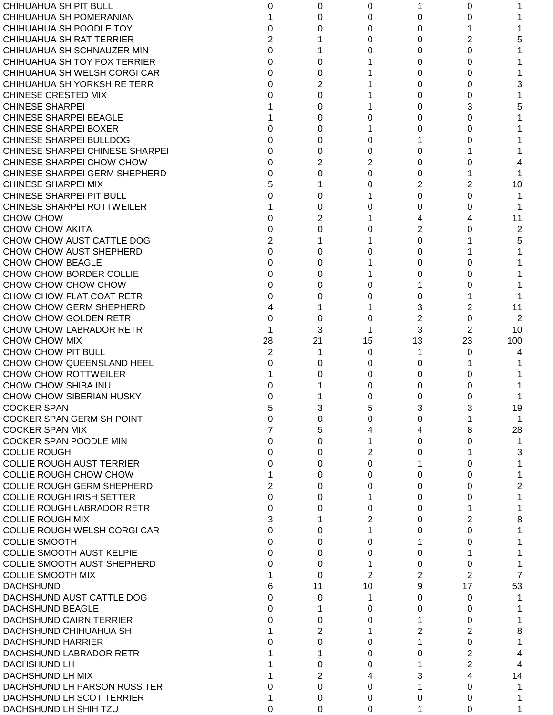| CHIHUAHUA SH PIT BULL             | 0              | 0        | 0              |    | 0              |     |
|-----------------------------------|----------------|----------|----------------|----|----------------|-----|
| CHIHUAHUA SH POMERANIAN           |                | 0        | 0              | 0  | 0              |     |
| CHIHUAHUA SH POODLE TOY           | 0              | 0        | 0              | 0  |                |     |
| <b>CHIHUAHUA SH RAT TERRIER</b>   | 2              |          | 0              | 0  | 2              | 5   |
| CHIHUAHUA SH SCHNAUZER MIN        | $\Omega$       |          | O              | 0  | 0              |     |
| CHIHUAHUA SH TOY FOX TERRIER      | $\Omega$       | 0        |                | 0  | 0              |     |
| CHIHUAHUA SH WELSH CORGI CAR      | $\Omega$       | $\Omega$ |                | 0  | 0              |     |
| CHIHUAHUA SH YORKSHIRE TERR       | $\Omega$       | 2        |                | 0  | 0              | 3   |
| <b>CHINESE CRESTED MIX</b>        |                | 0        |                | 0  | 0              |     |
| <b>CHINESE SHARPEI</b>            |                | 0        |                | 0  | 3              | 5   |
| <b>CHINESE SHARPEI BEAGLE</b>     |                | 0        | O              | 0  | 0              |     |
| <b>CHINESE SHARPEI BOXER</b>      | $\Omega$       | 0        |                | 0  | 0              |     |
| CHINESE SHARPEI BULLDOG           | $\Omega$       | 0        | 0              |    | O              |     |
| CHINESE SHARPEI CHINESE SHARPEI   | 0              | 0        | 0              | 0  |                |     |
| CHINESE SHARPEI CHOW CHOW         | 0              | 2        | 2              | 0  | 0              |     |
| CHINESE SHARPEI GERM SHEPHERD     | 0              | 0        | 0              | 0  |                |     |
| <b>CHINESE SHARPEI MIX</b>        | 5              |          | 0              | 2  | 2              | 10  |
| CHINESE SHARPEI PIT BULL          | 0              | 0        |                | 0  | 0              |     |
| <b>CHINESE SHARPEI ROTTWEILER</b> |                | 0        |                | 0  | 0              |     |
| CHOW CHOW                         | 0              | 2        |                | 4  |                | 11  |
| <b>CHOW CHOW AKITA</b>            | 0              | 0        |                | 2  | O              | 2   |
| CHOW CHOW AUST CATTLE DOG         | $\overline{2}$ |          |                | 0  |                | 5   |
| CHOW CHOW AUST SHEPHERD           | $\Omega$       | 0        |                | 0  |                |     |
| <b>CHOW CHOW BEAGLE</b>           | 0              | 0        |                | 0  | Ω              |     |
| CHOW CHOW BORDER COLLIE           | 0              | 0        |                | 0  | Ω              |     |
| CHOW CHOW CHOW CHOW               | 0              | 0        | 0              |    | 0              |     |
| CHOW CHOW FLAT COAT RETR          | 0              | 0        |                | 0  |                |     |
| CHOW CHOW GERM SHEPHERD           |                |          |                | 3  | 2              | 11  |
| CHOW CHOW GOLDEN RETR             | $\Omega$       | 0        | 0              | 2  | 0              | 2   |
| CHOW CHOW LABRADOR RETR           |                | 3        |                | 3  | 2              | 10  |
| CHOW CHOW MIX                     | 28             | 21       | 15             | 13 | 23             | 100 |
| CHOW CHOW PIT BULL                | 2              |          | 0              | 1  | 0              |     |
| CHOW CHOW QUEENSLAND HEEL         | 0              | 0        | 0              | 0  |                |     |
| <b>CHOW CHOW ROTTWEILER</b>       |                | 0        | 0              | 0  | 0              |     |
| CHOW CHOW SHIBA INU               |                |          | 0              | 0  | 0              |     |
| CHOW CHOW SIBERIAN HUSKY          | 0              |          | 0              | 0  | 0              |     |
| <b>COCKER SPAN</b>                | 5              | 3        | 5              | 3  | 3              | 19  |
| <b>COCKER SPAN GERM SH POINT</b>  | 0              | 0        | 0              | 0  |                |     |
| <b>COCKER SPAN MIX</b>            |                | 5        | 4              | 4  | 8              | 28  |
| <b>COCKER SPAN POODLE MIN</b>     | 0              | $\Omega$ |                | 0  | 0              |     |
| <b>COLLIE ROUGH</b>               | 0              | 0        | 2              | 0  |                | 3   |
| <b>COLLIE ROUGH AUST TERRIER</b>  | 0              | 0        | 0              |    | 0              |     |
| <b>COLLIE ROUGH CHOW CHOW</b>     |                | 0        | 0              | 0  | 0              |     |
| <b>COLLIE ROUGH GERM SHEPHERD</b> | 2              | 0        | 0              | 0  | 0              | 2   |
| <b>COLLIE ROUGH IRISH SETTER</b>  | 0              | 0        |                | 0  | 0              |     |
| <b>COLLIE ROUGH LABRADOR RETR</b> | $\Omega$       | 0        | 0              | 0  |                |     |
| <b>COLLIE ROUGH MIX</b>           | 3              |          | 2              | 0  | 2              | 8   |
| COLLIE ROUGH WELSH CORGI CAR      | 0              | 0        |                | 0  | 0              |     |
| <b>COLLIE SMOOTH</b>              | 0              | 0        | 0              |    | 0              |     |
| <b>COLLIE SMOOTH AUST KELPIE</b>  | 0              | 0        | 0              | 0  |                |     |
| COLLIE SMOOTH AUST SHEPHERD       | 0              | 0        |                | 0  | 0              |     |
| <b>COLLIE SMOOTH MIX</b>          |                | $\Omega$ | $\overline{2}$ | 2  | $\overline{2}$ | 7   |
| <b>DACHSHUND</b>                  | 6              | 11       | 10             | 9  | 17             | 53  |
| DACHSHUND AUST CATTLE DOG         | 0              | 0        | 1              | 0  | $\Omega$       |     |
| <b>DACHSHUND BEAGLE</b>           | 0              |          | 0              | 0  | 0              |     |
| DACHSHUND CAIRN TERRIER           | 0              | 0        | 0              |    | 0              |     |
| DACHSHUND CHIHUAHUA SH            |                | 2        |                | 2  | 2              | 8   |
| <b>DACHSHUND HARRIER</b>          |                | 0        | 0              |    | 0              |     |
| DACHSHUND LABRADOR RETR           |                |          | 0              | 0  | 2              | 4   |
| DACHSHUND LH                      |                | 0        | 0              |    | 2              | 4   |
| DACHSHUND LH MIX                  |                | 2        | 4              | 3  | 4              | 14  |
| DACHSHUND LH PARSON RUSS TER      | 0              | 0        | 0              |    | 0              |     |
| DACHSHUND LH SCOT TERRIER         |                | 0        | 0              | 0  | 0              |     |
| DACHSHUND LH SHIH TZU             | 0              | $\Omega$ | 0              |    | 0              |     |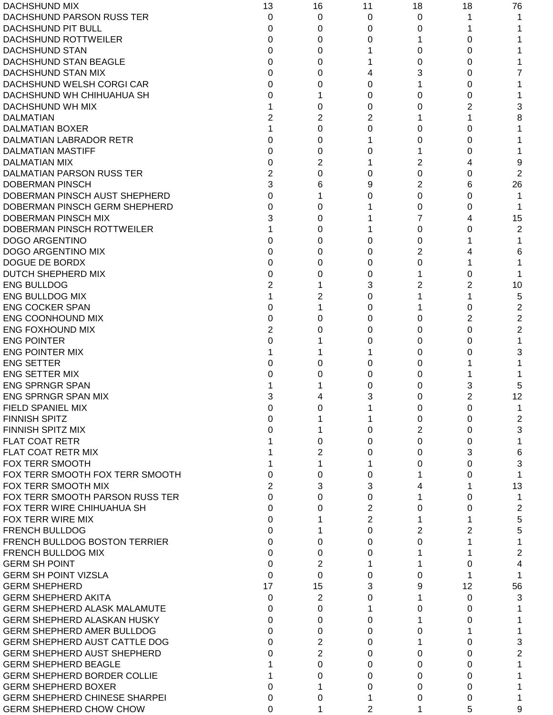| <b>DACHSHUND MIX</b>                 | 13 | 16       | 11             | 18             | 18     | 76             |
|--------------------------------------|----|----------|----------------|----------------|--------|----------------|
| DACHSHUND PARSON RUSS TER            | 0  | 0        | 0              | 0              | 1      |                |
| DACHSHUND PIT BULL                   | 0  | 0        | 0              | 0              |        |                |
| DACHSHUND ROTTWEILER                 | 0  | 0        | 0              |                | 0      |                |
| <b>DACHSHUND STAN</b>                | 0  | 0        |                | 0              | Ω      |                |
| DACHSHUND STAN BEAGLE                | 0  | 0        |                | 0              | O      |                |
| DACHSHUND STAN MIX                   | 0  | 0        | 4              | 3              | Ω      |                |
| DACHSHUND WELSH CORGI CAR            | 0  | 0        | 0              |                | Ω      |                |
| DACHSHUND WH CHIHUAHUA SH            | 0  |          | 0              | 0              | Ω      |                |
| DACHSHUND WH MIX                     |    | 0        | 0              | 0              | 2      |                |
| <b>DALMATIAN</b>                     |    | 2        | 2              |                |        | 8              |
| <b>DALMATIAN BOXER</b>               |    | 0        | 0              | 0              | 0      |                |
| DALMATIAN LABRADOR RETR              | 0  | 0        |                | 0              | 0      |                |
| <b>DALMATIAN MASTIFF</b>             | 0  | 0        | 0              |                | 0      |                |
| <b>DALMATIAN MIX</b>                 | 0  | 2        |                | 2              |        | 9              |
| DALMATIAN PARSON RUSS TER            | 2  | 0        | 0              | 0              | 0      | 2              |
| <b>DOBERMAN PINSCH</b>               | 3  | 6        | 9              | $\overline{2}$ | 6      | 26             |
| DOBERMAN PINSCH AUST SHEPHERD        | 0  |          | 0              | 0              | 0      |                |
| DOBERMAN PINSCH GERM SHEPHERD        | 0  | 0        |                | 0              | 0      |                |
| DOBERMAN PINSCH MIX                  |    | 0        |                | 7              |        | 15             |
| DOBERMAN PINSCH ROTTWEILER           |    | 0        |                | 0              | Ω      | $\overline{2}$ |
| <b>DOGO ARGENTINO</b>                |    | 0        | 0              | 0              |        |                |
| DOGO ARGENTINO MIX                   | O  | 0        | 0              | 2              |        | 6              |
| DOGUE DE BORDX                       | 0  | 0        | 0              | 0              |        |                |
| DUTCH SHEPHERD MIX                   | 0  | 0        | 0              |                | Ω      |                |
| <b>ENG BULLDOG</b>                   |    |          | 3              | 2              |        | 10             |
| <b>ENG BULLDOG MIX</b>               |    | 2        | 0              |                |        | 5              |
| <b>ENG COCKER SPAN</b>               | 0  |          | 0              |                | 0      | 2              |
| ENG COONHOUND MIX                    | 0  | $\Omega$ | 0              | 0              | 2      | $\overline{2}$ |
| <b>ENG FOXHOUND MIX</b>              |    | 0        | 0              | 0              | 0      | 2              |
| <b>ENG POINTER</b>                   |    |          | 0              | 0              |        | 1              |
| <b>ENG POINTER MIX</b>               |    |          |                | 0              | 0<br>0 |                |
| <b>ENG SETTER</b>                    |    | 0        |                |                |        | 3              |
|                                      |    |          | 0              | 0              |        |                |
| <b>ENG SETTER MIX</b>                |    | 0        | 0              | 0              |        |                |
| <b>ENG SPRNGR SPAN</b>               |    |          | 0              | 0              | 3      | 5              |
| <b>ENG SPRNGR SPAN MIX</b>           | 3  | 4        | 3              | 0              | 2      | 12             |
| FIELD SPANIEL MIX                    |    |          |                | O              | 0      |                |
| <b>FINNISH SPITZ</b>                 |    |          |                | 0              | 0      | $\overline{2}$ |
| FINNISH SPITZ MIX                    |    |          | 0              | 2              | 0      | 3              |
| <b>FLAT COAT RETR</b>                |    | 0        | 0              | $\Omega$       | 0      | 1              |
| FLAT COAT RETR MIX                   |    | 2        | 0              | $\Omega$       | 3      | 6              |
| FOX TERR SMOOTH                      |    |          |                | 0              | O      | 3              |
| FOX TERR SMOOTH FOX TERR SMOOTH      | 0  | 0        | 0              |                | O      | 1              |
| FOX TERR SMOOTH MIX                  |    | 3        | 3              | 4              |        | 13             |
| FOX TERR SMOOTH PARSON RUSS TER      | 0  | 0        | 0              | 1              | 0      | 1              |
| FOX TERR WIRE CHIHUAHUA SH           | 0  | 0        | 2              | 0              | 0      | 2              |
| FOX TERR WIRE MIX                    | 0  |          | 2              |                |        | 5              |
| <b>FRENCH BULLDOG</b>                | 0  |          | 0              | 2              | 2      | 5              |
| FRENCH BULLDOG BOSTON TERRIER        | 0  | 0        | 0              | 0              |        | 1              |
| FRENCH BULLDOG MIX                   | 0  | 0        | 0              |                |        | 2              |
| <b>GERM SH POINT</b>                 | 0  | 2        |                |                | 0      | 4              |
| <b>GERM SH POINT VIZSLA</b>          | 0  | $\Omega$ | 0              | 0              | 1      | 1              |
| <b>GERM SHEPHERD</b>                 | 17 | 15       | 3              | 9              | 12     | 56             |
| <b>GERM SHEPHERD AKITA</b>           | 0  | 2        | 0              |                | 0      | 3              |
| <b>GERM SHEPHERD ALASK MALAMUTE</b>  | 0  | $\Omega$ |                | 0              | 0      |                |
| <b>GERM SHEPHERD ALASKAN HUSKY</b>   | 0  | 0        | 0              |                | 0      |                |
| <b>GERM SHEPHERD AMER BULLDOG</b>    | 0  | 0        | 0              | 0              |        |                |
| <b>GERM SHEPHERD AUST CATTLE DOG</b> | 0  | 2        | 0              |                | 0      | 3              |
| <b>GERM SHEPHERD AUST SHEPHERD</b>   | 0  | 2        | 0              | 0              | 0      | 2              |
| <b>GERM SHEPHERD BEAGLE</b>          |    | 0        | 0              | 0              | 0      | 1              |
| <b>GERM SHEPHERD BORDER COLLIE</b>   |    | 0        | 0              | 0              | Ω      |                |
| <b>GERM SHEPHERD BOXER</b>           | 0  |          | 0              | 0              | 0      |                |
| <b>GERM SHEPHERD CHINESE SHARPEI</b> | 0  | 0        |                | 0              | O      |                |
| <b>GERM SHEPHERD CHOW CHOW</b>       | 0  |          | $\overline{2}$ | 1              | 5      | 9              |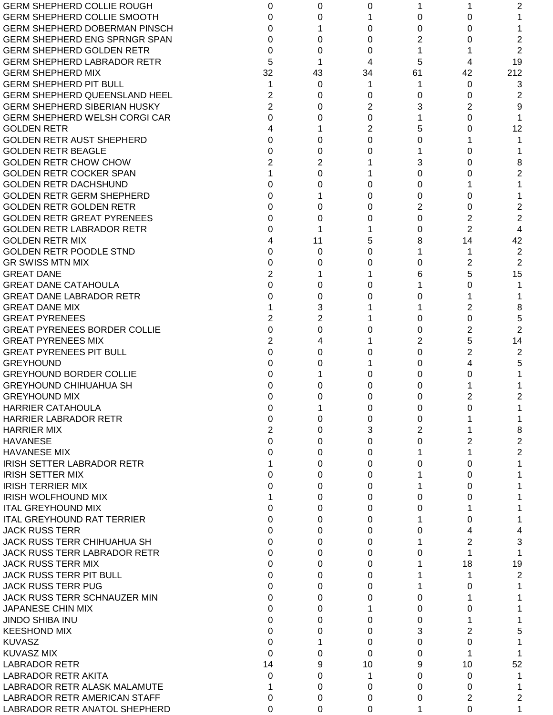| <b>GERM SHEPHERD COLLIE ROUGH</b>    | 0              | 0  | 0  |          |                | 2              |
|--------------------------------------|----------------|----|----|----------|----------------|----------------|
| <b>GERM SHEPHERD COLLIE SMOOTH</b>   | 0              | 0  |    | 0        | 0              |                |
| <b>GERM SHEPHERD DOBERMAN PINSCH</b> | 0              |    | 0  | 0        | 0              |                |
| <b>GERM SHEPHERD ENG SPRNGR SPAN</b> | 0              | 0  | 0  | 2        | 0              | 2              |
| <b>GERM SHEPHERD GOLDEN RETR</b>     | $\Omega$       | 0  | 0  | 1        |                | 2              |
| <b>GERM SHEPHERD LABRADOR RETR</b>   | 5              |    | 4  | 5        | 4              | 19             |
| <b>GERM SHEPHERD MIX</b>             | 32             | 43 | 34 | 61       | 42             | 212            |
| <b>GERM SHEPHERD PIT BULL</b>        |                | 0  |    | 1        | 0              | 3              |
| <b>GERM SHEPHERD QUEENSLAND HEEL</b> | $\overline{2}$ | 0  | 0  | 0        | 0              | 2              |
| <b>GERM SHEPHERD SIBERIAN HUSKY</b>  | $\overline{2}$ | 0  | 2  | 3        | 2              | 9              |
| <b>GERM SHEPHERD WELSH CORGI CAR</b> | $\Omega$       | 0  | 0  |          | 0              |                |
| <b>GOLDEN RETR</b>                   | 4              |    | 2  | 5        | 0              | 12             |
| <b>GOLDEN RETR AUST SHEPHERD</b>     | $\Omega$       | 0  | 0  | 0        |                |                |
| <b>GOLDEN RETR BEAGLE</b>            | $\Omega$       | 0  |    |          | 0              |                |
| <b>GOLDEN RETR CHOW CHOW</b>         | $\overline{2}$ | 2  |    | 3        | 0              |                |
| <b>GOLDEN RETR COCKER SPAN</b>       |                | 0  |    | 0        |                | 8<br>2         |
|                                      |                |    |    |          | 0              |                |
| <b>GOLDEN RETR DACHSHUND</b>         | 0              | 0  | 0  | 0        |                |                |
| <b>GOLDEN RETR GERM SHEPHERD</b>     | 0              |    | 0  | 0        | 0              |                |
| <b>GOLDEN RETR GOLDEN RETR</b>       | 0              | 0  | 0  | 2        | 0              | 2              |
| <b>GOLDEN RETR GREAT PYRENEES</b>    | $\Omega$       | 0  | O  | $\Omega$ | 2              | $\overline{2}$ |
| <b>GOLDEN RETR LABRADOR RETR</b>     | 0              |    |    | 0        | $\overline{2}$ | 4              |
| <b>GOLDEN RETR MIX</b>               | 4              | 11 | 5  | 8        | 14             | 42             |
| <b>GOLDEN RETR POODLE STND</b>       | $\Omega$       | 0  | O  |          |                | $\overline{2}$ |
| <b>GR SWISS MTN MIX</b>              | $\Omega$       | 0  | O  | 0        | 2              | 2              |
| <b>GREAT DANE</b>                    | $\overline{2}$ |    |    | 6        | 5              | 15             |
| <b>GREAT DANE CATAHOULA</b>          | 0              | 0  | 0  |          | 0              |                |
| <b>GREAT DANE LABRADOR RETR</b>      | $\Omega$       | 0  | O  | 0        |                |                |
| <b>GREAT DANE MIX</b>                |                | 3  |    |          | 2              | 8              |
| <b>GREAT PYRENEES</b>                | 2              | 2  |    | 0        | 0              | 5              |
| <b>GREAT PYRENEES BORDER COLLIE</b>  | $\Omega$       | 0  |    | 0        | 2              | $\overline{2}$ |
| <b>GREAT PYRENEES MIX</b>            | $\overline{2}$ | 4  |    | 2        | 5              | 14             |
| <b>GREAT PYRENEES PIT BULL</b>       | $\Omega$       | 0  | 0  | 0        | 2              | 2              |
| <b>GREYHOUND</b>                     | 0              | 0  |    | 0        | 4              | 5              |
| <b>GREYHOUND BORDER COLLIE</b>       | 0              |    | 0  | 0        | 0              |                |
| <b>GREYHOUND CHIHUAHUA SH</b>        | 0              | 0  | 0  | 0        |                |                |
| <b>GREYHOUND MIX</b>                 | O              | 0  | 0  | 0        | 2              | 2              |
| HARRIER CATAHOULA                    | O              |    | O  | 0        |                |                |
| <b>HARRIER LABRADOR RETR</b>         | 0              | 0  | 0  | 0        |                |                |
| <b>HARRIER MIX</b>                   | $\overline{2}$ | 0  | 3  | 2        |                | 8              |
| <b>HAVANESE</b>                      | 0              | 0  | 0  | 0        | 2              | $\overline{2}$ |
| <b>HAVANESE MIX</b>                  | 0              | 0  | 0  |          |                | $\overline{2}$ |
| <b>IRISH SETTER LABRADOR RETR</b>    |                | 0  | 0  | 0        | 0              |                |
| <b>IRISH SETTER MIX</b>              | 0              | 0  | 0  |          | 0              |                |
| <b>IRISH TERRIER MIX</b>             | 0              | 0  | 0  |          | 0              |                |
| <b>IRISH WOLFHOUND MIX</b>           |                | 0  | 0  | 0        | O              |                |
| <b>ITAL GREYHOUND MIX</b>            | 0              | 0  | 0  | 0        |                |                |
| <b>ITAL GREYHOUND RAT TERRIER</b>    | 0              | 0  | 0  |          | 0              |                |
| <b>JACK RUSS TERR</b>                | 0              | 0  | 0  | 0        |                |                |
| <b>JACK RUSS TERR CHIHUAHUA SH</b>   | 0              |    |    |          |                |                |
|                                      |                | 0  | 0  |          | 2              | 3              |
| <b>JACK RUSS TERR LABRADOR RETR</b>  | 0              | 0  | 0  | 0        |                |                |
| <b>JACK RUSS TERR MIX</b>            | 0              | 0  | 0  |          | 18             | 19             |
| JACK RUSS TERR PIT BULL              | 0              | 0  | 0  |          |                | 2              |
| <b>JACK RUSS TERR PUG</b>            | 0              | 0  | 0  |          | 0              |                |
| JACK RUSS TERR SCHNAUZER MIN         | 0              | 0  | 0  | 0        |                |                |
| JAPANESE CHIN MIX                    | 0              | 0  |    | 0        | 0              |                |
| <b>JINDO SHIBA INU</b>               | 0              | 0  | 0  | 0        |                |                |
| <b>KEESHOND MIX</b>                  | 0              | 0  | 0  | 3        | 2              | 5              |
| <b>KUVASZ</b>                        | 0              |    | 0  | 0        | 0              |                |
| <b>KUVASZ MIX</b>                    | 0              | 0  | 0  | 0        |                |                |
| <b>LABRADOR RETR</b>                 | 14             | 9  | 10 | 9        | 10             | 52             |
| <b>LABRADOR RETR AKITA</b>           | 0              | 0  | 1  | 0        | 0              |                |
| LABRADOR RETR ALASK MALAMUTE         |                | 0  | 0  | 0        | 0              |                |
| <b>LABRADOR RETR AMERICAN STAFF</b>  | 0              | 0  | 0  | 0        | 2              | 2              |
| LABRADOR RETR ANATOL SHEPHERD        | 0              | 0  | 0  | 1        | 0              | 1              |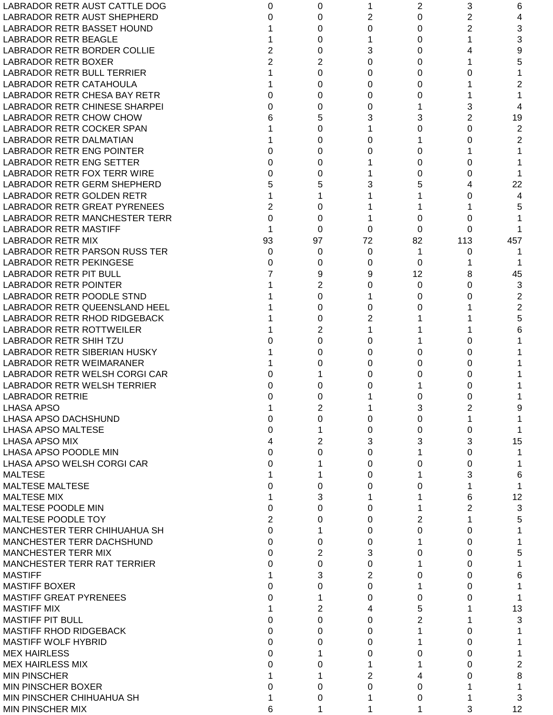| LABRADOR RETR AUST CATTLE DOG       | 0              | 0        |          | 2        | 3              | 6              |
|-------------------------------------|----------------|----------|----------|----------|----------------|----------------|
| LABRADOR RETR AUST SHEPHERD         | 0              | 0        | 2        | $\Omega$ | $\overline{2}$ | 4              |
| LABRADOR RETR BASSET HOUND          |                | 0        | 0        | 0        | 2              | 3              |
| <b>LABRADOR RETR BEAGLE</b>         |                | 0        |          | 0        |                | 3              |
| <b>LABRADOR RETR BORDER COLLIE</b>  | $\overline{2}$ | 0        | 3        | 0        |                | 9              |
| LABRADOR RETR BOXER                 | $\overline{2}$ | 2        | 0        | 0        |                | 5              |
| LABRADOR RETR BULL TERRIER          |                | 0        | 0        | 0        | O              |                |
| <b>LABRADOR RETR CATAHOULA</b>      |                | 0        | 0        | 0        |                | 2              |
| LABRADOR RETR CHESA BAY RETR        | 0              | 0        | 0        | 0        |                |                |
| LABRADOR RETR CHINESE SHARPEI       | 0              | 0        | 0        |          | 3              | 4              |
| <b>LABRADOR RETR CHOW CHOW</b>      | 6              | 5        | 3        | 3        | 2              | 19             |
| LABRADOR RETR COCKER SPAN           |                | 0        |          | 0        | 0              | 2              |
| <b>LABRADOR RETR DALMATIAN</b>      |                | 0        | ი        |          | 0              | 2              |
| LABRADOR RETR ENG POINTER           | 0              | 0        |          | 0        |                |                |
| LABRADOR RETR ENG SETTER            | 0              | 0        |          | 0        | 0              |                |
| <b>LABRADOR RETR FOX TERR WIRE</b>  |                |          |          |          |                |                |
|                                     | 0              | 0        |          | 0        | 0              |                |
| LABRADOR RETR GERM SHEPHERD         | 5              | 5        |          | 5        |                | 22             |
| <b>LABRADOR RETR GOLDEN RETR</b>    | 1              |          |          |          | 0              | 4              |
| <b>LABRADOR RETR GREAT PYRENEES</b> | $\overline{2}$ | 0        |          |          |                | 5              |
| LABRADOR RETR MANCHESTER TERR       | $\Omega$       | 0        |          | 0        | 0              |                |
| <b>LABRADOR RETR MASTIFF</b>        |                | 0        | 0        | 0        | 0              |                |
| LABRADOR RETR MIX                   | 93             | 97       | 72       | 82       | 113            | 457            |
| LABRADOR RETR PARSON RUSS TER       | $\Omega$       | 0        | $\Omega$ | 1        | 0              |                |
| <b>LABRADOR RETR PEKINGESE</b>      | 0              | 0        | 0        | 0        |                |                |
| LABRADOR RETR PIT BULL              |                | 9        | 9        | 12       | 8              | 45             |
| <b>LABRADOR RETR POINTER</b>        |                | 2        | 0        | 0        | 0              | 3              |
| LABRADOR RETR POODLE STND           |                | $\Omega$ |          | 0        | 0              | 2              |
| LABRADOR RETR QUEENSLAND HEEL       |                | 0        | 0        | 0        |                | $\overline{2}$ |
| LABRADOR RETR RHOD RIDGEBACK        |                | 0        | 2        |          |                | 5              |
| <b>LABRADOR RETR ROTTWEILER</b>     |                | 2        |          |          |                | 6              |
| <b>LABRADOR RETR SHIH TZU</b>       |                | 0        | 0        |          | 0              |                |
| <b>LABRADOR RETR SIBERIAN HUSKY</b> |                | 0        | 0        | 0        | 0              |                |
| <b>LABRADOR RETR WEIMARANER</b>     |                | 0        | 0        | 0        | 0              |                |
| LABRADOR RETR WELSH CORGI CAR       | 0              |          | 0        | 0        | 0              |                |
| LABRADOR RETR WELSH TERRIER         |                | 0        |          |          | 0              |                |
| <b>LABRADOR RETRIE</b>              | 0              | 0        |          | 0        | 0              |                |
| <b>LHASA APSO</b>                   |                | 2        |          | 3        |                | 9              |
| LHASA APSO DACHSHUND                |                | 0        | 0        | 0        | ۷              |                |
| <b>LHASA APSO MALTESE</b>           | 0              |          | 0        | 0        | 0              |                |
| <b>LHASA APSO MIX</b>               | 4              | 2        | 3        | 3        | 3              | 15             |
| LHASA APSO POODLE MIN               | 0              | 0        | 0        |          | 0              |                |
| LHASA APSO WELSH CORGI CAR          |                |          |          |          |                |                |
|                                     | 0              |          | 0        | 0        | 0              |                |
| <b>MALTESE</b>                      |                |          | 0        |          | 3              | 6              |
| <b>MALTESE MALTESE</b>              | 0              | 0        | 0        | 0        |                |                |
| <b>MALTESE MIX</b>                  |                | 3        |          |          | 6              | 12             |
| MALTESE POODLE MIN                  | 0              | 0        | 0        |          | 2              | 3              |
| MALTESE POODLE TOY                  | $\overline{2}$ | 0        | 0        | 2        |                | 5              |
| <b>MANCHESTER TERR CHIHUAHUA SH</b> | 0              |          | 0        | 0        | 0              |                |
| MANCHESTER TERR DACHSHUND           | 0              | 0        | 0        |          | 0              |                |
| <b>MANCHESTER TERR MIX</b>          | 0              | 2        | 3        | 0        | 0              | 5              |
| <b>MANCHESTER TERR RAT TERRIER</b>  | 0              | 0        | 0        |          | 0              |                |
| <b>MASTIFF</b>                      |                | 3        | 2        | 0        | 0              | 6              |
| <b>MASTIFF BOXER</b>                | 0              | 0        | 0        |          | 0              |                |
| <b>MASTIFF GREAT PYRENEES</b>       | 0              |          | 0        | 0        | O              |                |
| <b>MASTIFF MIX</b>                  |                | 2        | 4        | 5        |                | 13             |
| <b>MASTIFF PIT BULL</b>             | 0              | 0        | 0        | 2        |                | 3              |
| <b>MASTIFF RHOD RIDGEBACK</b>       | 0              | 0        | 0        |          | 0              |                |
| <b>MASTIFF WOLF HYBRID</b>          | 0              | 0        | 0        |          | 0              |                |
| <b>MEX HAIRLESS</b>                 | 0              |          | 0        | 0        | 0              |                |
| <b>MEX HAIRLESS MIX</b>             | 0              | 0        |          |          | 0              | 2              |
| <b>MIN PINSCHER</b>                 |                |          | 2        |          | 0              | 8              |
| <b>MIN PINSCHER BOXER</b>           | 0              | 0        | $\Omega$ | 0        |                |                |
| MIN PINSCHER CHIHUAHUA SH           |                | 0        |          | 0        |                | 3              |
| MIN PINSCHER MIX                    | 6              |          |          |          | 3              | 12             |
|                                     |                |          |          |          |                |                |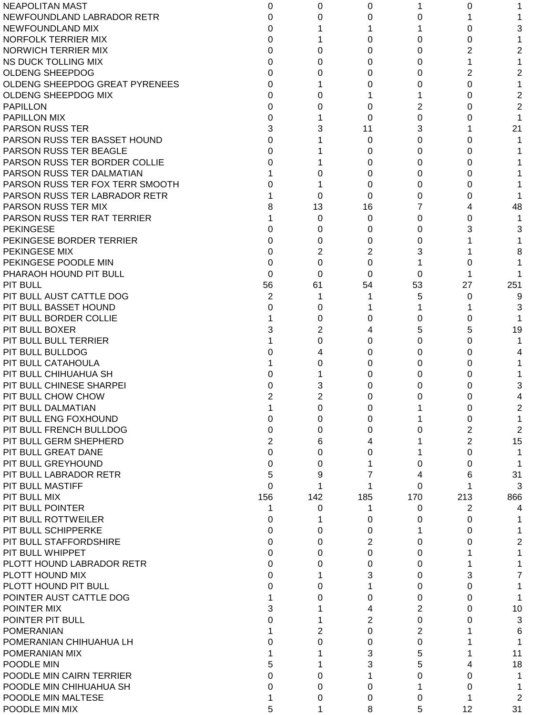| <b>NEAPOLITAN MAST</b>                              | 0              | 0             | 0        |     | 0   |     |
|-----------------------------------------------------|----------------|---------------|----------|-----|-----|-----|
| NEWFOUNDLAND LABRADOR RETR                          | 0              | 0             | 0        | 0   |     |     |
| NEWFOUNDLAND MIX                                    | 0              |               |          |     | 0   | 3   |
| NORFOLK TERRIER MIX                                 | 0              |               | 0        | 0   | 0   |     |
| <b>NORWICH TERRIER MIX</b>                          | 0              | 0             | 0        | 0   | 2   | 2   |
| NS DUCK TOLLING MIX                                 | 0              | 0             | 0        | 0   | 1   |     |
| <b>OLDENG SHEEPDOG</b>                              | 0              | 0             | 0        | 0   | 2   | 2   |
| OLDENG SHEEPDOG GREAT PYRENEES                      | 0              |               | 0        | 0   | 0   |     |
| OLDENG SHEEPDOG MIX                                 | 0              | 0             |          |     | 0   | 2   |
| <b>PAPILLON</b>                                     | 0              | 0             | 0        | 2   | 0   | 2   |
| <b>PAPILLON MIX</b>                                 | 0              |               | 0        | 0   | 0   |     |
| <b>PARSON RUSS TER</b>                              | 3              | 3             | 11       | 3   |     | 21  |
| PARSON RUSS TER BASSET HOUND                        | 0              |               | 0        | 0   | 0   |     |
| PARSON RUSS TER BEAGLE                              | 0              |               | 0        | 0   | 0   |     |
| PARSON RUSS TER BORDER COLLIE                       | 0              |               | 0        | 0   | 0   |     |
| PARSON RUSS TER DALMATIAN                           |                | 0             | 0        | 0   | 0   |     |
| PARSON RUSS TER FOX TERR SMOOTH                     | 0              |               | 0        | 0   | 0   |     |
| PARSON RUSS TER LABRADOR RETR                       |                | 0             | $\Omega$ | 0   | 0   |     |
| PARSON RUSS TER MIX                                 |                | 13            | 16       | 7   | 4   | 48  |
| PARSON RUSS TER RAT TERRIER                         |                | 0             | 0        | 0   | 0   |     |
| <b>PEKINGESE</b>                                    | O              | 0             | 0        | 0   | 3   | 3   |
| PEKINGESE BORDER TERRIER                            | 0              | 0             | 0        | 0   |     |     |
| PEKINGESE MIX                                       | 0              | 2             | 2        | 3   |     | 8   |
| PEKINGESE POODLE MIN                                | 0              | 0             | 0        |     | O   |     |
| PHARAOH HOUND PIT BULL                              | 0              | 0             | $\Omega$ | 0   |     |     |
| <b>PIT BULL</b>                                     | 56             | 61            | 54       | 53  | 27  | 251 |
| PIT BULL AUST CATTLE DOG                            | 2              | 1             | 1        | 5   | 0   | 9   |
| PIT BULL BASSET HOUND                               | 0              | 0             |          |     |     | 3   |
| PIT BULL BORDER COLLIE                              |                | 0             | 0        | 0   | 0   |     |
| PIT BULL BOXER                                      | 3              | 2             | 4        | 5   | 5   | 19  |
| PIT BULL BULL TERRIER                               |                | 0             | 0        | 0   | 0   |     |
| PIT BULL BULLDOG                                    |                | 4             | 0        | 0   | 0   |     |
| PIT BULL CATAHOULA                                  |                | 0             | 0        | 0   | 0   |     |
| PIT BULL CHIHUAHUA SH                               |                |               | 0        | 0   | 0   |     |
| PIT BULL CHINESE SHARPEI                            |                | 3             | 0        | 0   | 0   | 3   |
| PIT BULL CHOW CHOW                                  | 2              | 2             | 0        | 0   | 0   | 4   |
| PIT BULL DALMATIAN                                  |                | 0             | 0        |     | 0   | 2   |
| PIT BULL ENG FOXHOUND                               | 0              | 0             | 0        |     | 0   |     |
| PIT BULL FRENCH BULLDOG                             | 0              | 0             | 0        | 0   | 2   | 2   |
| PIT BULL GERM SHEPHERD                              | $\overline{2}$ | 6             | 4        |     | 2   | 15  |
| PIT BULL GREAT DANE                                 | 0              | 0             | 0        |     | 0   |     |
| PIT BULL GREYHOUND                                  | 0              | 0             |          | 0   | 0   |     |
| PIT BULL LABRADOR RETR                              | 5              | 9             |          | 4   | 6   | 31  |
| PIT BULL MASTIFF                                    | 0              |               |          | 0   |     | 3   |
| <b>PIT BULL MIX</b>                                 | 156            | 142           | 185      | 170 | 213 | 866 |
| PIT BULL POINTER                                    | 1              | 0             | 1        | 0   | 2   | 4   |
| PIT BULL ROTTWEILER                                 | 0              |               | 0        | 0   | 0   |     |
| PIT BULL SCHIPPERKE                                 | 0              | 0             | 0        |     | 0   |     |
| PIT BULL STAFFORDSHIRE                              | 0              | 0             | 2        | 0   | 0   | 2   |
| PIT BULL WHIPPET                                    | 0              | 0             | 0        | 0   |     |     |
| PLOTT HOUND LABRADOR RETR                           | 0              | 0             | 0        | 0   |     |     |
| PLOTT HOUND MIX                                     | 0              |               | 3        | 0   | 3   |     |
| PLOTT HOUND PIT BULL                                | 0              | 0             |          | 0   | 0   |     |
| POINTER AUST CATTLE DOG                             |                | 0             | 0        | 0   | 0   |     |
| POINTER MIX                                         | 3              |               | 4        | 2   | 0   | 10  |
| POINTER PIT BULL                                    | 0              |               | 2        | 0   | 0   | 3   |
| <b>POMERANIAN</b>                                   |                | 2             | 0        | 2   |     | 6   |
| POMERANIAN CHIHUAHUA LH                             | 0              | 0             | 0        | 0   |     |     |
| POMERANIAN MIX                                      |                |               | 3        | 5   |     | 11  |
| POODLE MIN                                          | 5              |               | 3        | 5   |     | 18  |
| POODLE MIN CAIRN TERRIER<br>POODLE MIN CHIHUAHUA SH | 0<br>0         | 0<br>$\Omega$ | 0        | 0   | 0   |     |
| POODLE MIN MALTESE                                  |                | 0             | 0        | 0   | 0   | 2   |
| POODLE MIN MIX                                      | 5              | 1             | 8        | 5   | 12  | 31  |
|                                                     |                |               |          |     |     |     |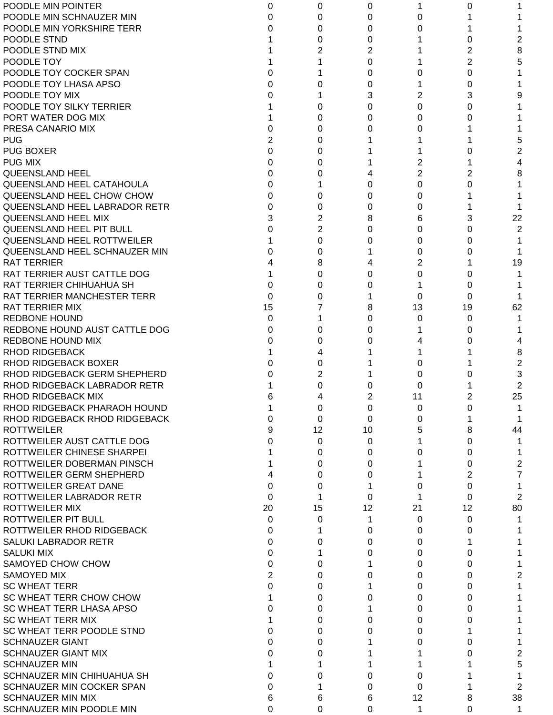| POODLE MIN POINTER               | 0        | 0  | 0  |                | 0        |                |
|----------------------------------|----------|----|----|----------------|----------|----------------|
| POODLE MIN SCHNAUZER MIN         |          | 0  | 0  | 0              |          |                |
| POODLE MIN YORKSHIRE TERR        |          | 0  | 0  | 0              |          |                |
| POODLE STND                      |          | 0  | 0  |                | 0        | 2              |
| POODLE STND MIX                  |          | 2  | 2  |                | 2        | 8              |
| POODLE TOY                       |          |    | 0  |                | 2        | 5              |
| POODLE TOY COCKER SPAN           |          |    | 0  | 0              | 0        |                |
| POODLE TOY LHASA APSO            |          | O  | 0  |                | 0        |                |
| POODLE TOY MIX                   |          |    | 3  | 2              | 3        |                |
| POODLE TOY SILKY TERRIER         |          | 0  | 0  | $\Omega$       | 0        |                |
| PORT WATER DOG MIX               |          | 0  | 0  | 0              | O        |                |
| PRESA CANARIO MIX                |          | 0  | O  | 0              |          |                |
| <b>PUG</b>                       | 2        | 0  |    |                |          | 5              |
| <b>PUG BOXER</b>                 | 0        | 0  |    |                |          | 2              |
| <b>PUG MIX</b>                   | 0        |    |    | 2              |          | 4              |
|                                  |          | 0  |    | $\overline{2}$ |          |                |
| <b>QUEENSLAND HEEL</b>           | 0        | 0  |    |                | 2        | 8              |
| <b>QUEENSLAND HEEL CATAHOULA</b> | 0        |    | 0  | 0              | 0        |                |
| QUEENSLAND HEEL CHOW CHOW        | 0        | 0  | 0  | 0              |          |                |
| QUEENSLAND HEEL LABRADOR RETR    | 0        | 0  | 0  | 0              |          |                |
| QUEENSLAND HEEL MIX              | 3        | 2  | 8  | 6              | 3        | 22             |
| QUEENSLAND HEEL PIT BULL         | O        | 2  | 0  | 0              | 0        | 2              |
| QUEENSLAND HEEL ROTTWEILER       |          | 0  | 0  | 0              | 0        |                |
| QUEENSLAND HEEL SCHNAUZER MIN    |          | 0  |    | 0              | O        |                |
| <b>RAT TERRIER</b>               |          | 8  |    | 2              |          | 19             |
| RAT TERRIER AUST CATTLE DOG      |          | 0  | 0  | 0              | O        |                |
| RAT TERRIER CHIHUAHUA SH         | 0        | 0  | 0  |                | 0        |                |
| RAT TERRIER MANCHESTER TERR      | $\Omega$ | 0  |    | 0              | 0        |                |
| <b>RAT TERRIER MIX</b>           | 15       |    | 8  | 13             | 19       | 62             |
| <b>REDBONE HOUND</b>             | 0        |    | 0  | 0              | 0        |                |
| REDBONE HOUND AUST CATTLE DOG    | 0        | 0  | 0  |                | 0        |                |
| REDBONE HOUND MIX                |          | 0  |    |                | 0        |                |
| <b>RHOD RIDGEBACK</b>            |          |    |    |                |          | 8              |
| RHOD RIDGEBACK BOXER             |          | 0  |    | 0              |          | $\overline{c}$ |
| RHOD RIDGEBACK GERM SHEPHERD     |          | 2  |    | 0              |          | 3              |
| RHOD RIDGEBACK LABRADOR RETR     |          | 0  |    | 0              |          | 2              |
| RHOD RIDGEBACK MIX               | 6        | 4  | 2  | 11             | 2        | 25             |
| RHOD RIDGEBACK PHARAOH HOUND     |          | 0  | 0  | O              | 0        |                |
| RHOD RIDGEBACK RHOD RIDGEBACK    | 0        | 0  | 0  | 0              |          |                |
| <b>ROTTWEILER</b>                | 9        | 12 | 10 | 5              | 8        | 44             |
| ROTTWEILER AUST CATTLE DOG       | O        | 0  | 0  |                | 0        |                |
| ROTTWEILER CHINESE SHARPEI       |          | 0  | 0  | 0              | 0        | 1.             |
| ROTTWEILER DOBERMAN PINSCH       |          | 0  | 0  |                | 0        | 2              |
| ROTTWEILER GERM SHEPHERD         |          | 0  | 0  |                |          | 7              |
| ROTTWEILER GREAT DANE            | $\Omega$ |    |    |                | 2        |                |
|                                  |          | 0  |    | 0              | 0        | 1              |
| ROTTWEILER LABRADOR RETR         | $\Omega$ | 1  | 0  |                | $\Omega$ | 2              |
| <b>ROTTWEILER MIX</b>            | 20       | 15 | 12 | 21             | 12       | 80             |
| ROTTWEILER PIT BULL              | 0        | 0  | 1  | 0              | 0        |                |
| ROTTWEILER RHOD RIDGEBACK        | 0        |    | 0  | 0              | 0        |                |
| <b>SALUKI LABRADOR RETR</b>      | 0        | 0  | 0  | 0              |          |                |
| <b>SALUKI MIX</b>                | 0        |    | 0  | 0              | 0        |                |
| SAMOYED CHOW CHOW                | 0        | 0  |    | 0              | 0        |                |
| <b>SAMOYED MIX</b>               | 2        | 0  | 0  | 0              | 0        | 2              |
| <b>SC WHEAT TERR</b>             | 0        | 0  |    | 0              | 0        |                |
| SC WHEAT TERR CHOW CHOW          |          | 0  | 0  | 0              | 0        |                |
| SC WHEAT TERR LHASA APSO         | 0        | 0  |    | 0              | 0        |                |
| <b>SC WHEAT TERR MIX</b>         |          | 0  | 0  | $\Omega$       | 0        |                |
| SC WHEAT TERR POODLE STND        | 0        | 0  | 0  | 0              |          |                |
| <b>SCHNAUZER GIANT</b>           | 0        | 0  |    | 0              | 0        |                |
| <b>SCHNAUZER GIANT MIX</b>       | 0        | 0  |    |                | O        | 2              |
| <b>SCHNAUZER MIN</b>             |          |    |    |                |          | 5              |
| SCHNAUZER MIN CHIHUAHUA SH       | 0        | 0  | 0  | 0              |          | 1              |
| SCHNAUZER MIN COCKER SPAN        | 0        |    | 0  | 0              |          | 2              |
| <b>SCHNAUZER MIN MIX</b>         | 6        | 6  | 6  | 12             | 8        | 38             |
| SCHNAUZER MIN POODLE MIN         | 0        | 0  | 0  | 1              | 0        | 1              |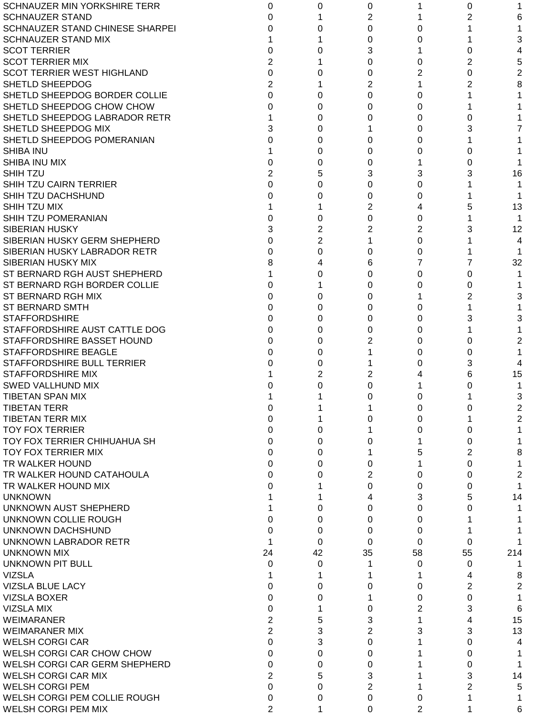| SCHNAUZER MIN YORKSHIRE TERR      | 0              | 0              | 0              |          | 0        |     |
|-----------------------------------|----------------|----------------|----------------|----------|----------|-----|
| <b>SCHNAUZER STAND</b>            | O              |                | 2              |          | 2        | 6   |
| SCHNAUZER STAND CHINESE SHARPEI   | 0              | 0              | $\Omega$       | 0        |          |     |
| <b>SCHNAUZER STAND MIX</b>        |                |                | 0              | 0        |          | 3   |
| <b>SCOT TERRIER</b>               | 0              | 0              | 3              |          | 0        | 4   |
| <b>SCOT TERRIER MIX</b>           | $\overline{2}$ |                | 0              | 0        | 2        | 5   |
| <b>SCOT TERRIER WEST HIGHLAND</b> | $\Omega$       | 0              | 0              | 2        | 0        | 2   |
| SHETLD SHEEPDOG                   | $\overline{2}$ |                | $\overline{2}$ |          | 2        | 8   |
| SHETLD SHEEPDOG BORDER COLLIE     | $\Omega$       | 0              | $\Omega$       | 0        |          |     |
| SHETLD SHEEPDOG CHOW CHOW         | 0              | 0              | 0              | 0        |          |     |
| SHETLD SHEEPDOG LABRADOR RETR     |                | 0              | 0              | 0        | O        |     |
| SHETLD SHEEPDOG MIX               | 3              | 0              |                | 0        | з        |     |
|                                   |                |                |                |          |          |     |
| SHETLD SHEEPDOG POMERANIAN        | 0              | 0              | 0              | 0        |          |     |
| <b>SHIBA INU</b>                  |                | 0              | 0              | 0        | 0        |     |
| SHIBA INU MIX                     | 0              | 0              | 0              |          | 0        |     |
| <b>SHIHTZU</b>                    | $\overline{2}$ | 5              | 3              | 3        | 3        | 16  |
| SHIH TZU CAIRN TERRIER            | 0              | 0              | 0              | $\Omega$ |          |     |
| <b>SHIH TZU DACHSHUND</b>         | 0              | 0              | 0              | 0        |          |     |
| SHIH TZU MIX                      |                |                | 2              | 4        |          | 13  |
| <b>SHIH TZU POMERANIAN</b>        | 0              | 0              | 0              | 0        |          |     |
| <b>SIBERIAN HUSKY</b>             | 3              | $\overline{2}$ | 2              | 2        |          | 12  |
| SIBERIAN HUSKY GERM SHEPHERD      | 0              | $\overline{2}$ |                | 0        |          | 4   |
| SIBERIAN HUSKY LABRADOR RETR      | 0              | 0              | 0              | 0        |          |     |
| SIBERIAN HUSKY MIX                | 8              | 4              | 6              | 7        |          | 32  |
| ST BERNARD RGH AUST SHEPHERD      |                | 0              | 0              | 0        | 0        |     |
| ST BERNARD RGH BORDER COLLIE      | 0              |                | 0              | 0        | 0        |     |
| ST BERNARD RGH MIX                | 0              | 0              | 0              |          | 2        | 3   |
| <b>ST BERNARD SMTH</b>            | 0              | 0              | 0              | 0        |          |     |
|                                   |                |                |                |          |          |     |
| <b>STAFFORDSHIRE</b>              | 0              | 0              | 0              | 0        | 3        | 3   |
| STAFFORDSHIRE AUST CATTLE DOG     | 0              | 0              | 0              | 0        |          |     |
| STAFFORDSHIRE BASSET HOUND        | 0              | 0              | 2              | 0        | 0        | 2   |
| <b>STAFFORDSHIRE BEAGLE</b>       | 0              | 0              |                | 0        | 0        |     |
| STAFFORDSHIRE BULL TERRIER        | U              | 0              |                | 0        | 3        | 4   |
| <b>STAFFORDSHIRE MIX</b>          |                | 2              | 2              |          | 6        | 15  |
| <b>SWED VALLHUND MIX</b>          |                | 0              | 0              |          | O        |     |
| <b>TIBETAN SPAN MIX</b>           |                |                | 0              | 0        |          | 3   |
| <b>TIBETAN TERR</b>               |                |                |                | 0        |          |     |
| <b>TIBETAN TERR MIX</b>           | 0              |                | 0              | 0        |          | 2   |
| <b>TOY FOX TERRIER</b>            | 0              | 0              |                | 0        | 0        |     |
| TOY FOX TERRIER CHIHUAHUA SH      | 0              | 0              | 0              |          | 0        |     |
| TOY FOX TERRIER MIX               | 0              | 0              |                | 5        | 2        | 8   |
| TR WALKER HOUND                   | 0              | 0              | 0              |          | 0        |     |
| TR WALKER HOUND CATAHOULA         | 0              | 0              | $\overline{2}$ | 0        | 0        | 2   |
| TR WALKER HOUND MIX               | 0              |                | $\Omega$       | 0        | 0        |     |
|                                   |                |                |                |          |          |     |
| <b>UNKNOWN</b>                    |                |                | 4              | 3        | 5        | 14  |
| UNKNOWN AUST SHEPHERD             |                | 0              | 0              | 0        | 0        |     |
| UNKNOWN COLLIE ROUGH              | 0              | 0              | 0              | 0        |          |     |
| UNKNOWN DACHSHUND                 | 0              | 0              | 0              | 0        |          |     |
| UNKNOWN LABRADOR RETR             |                | 0              | 0              | 0        | 0        |     |
| UNKNOWN MIX                       | 24             | 42             | 35             | 58       | 55       | 214 |
| <b>UNKNOWN PIT BULL</b>           | 0              | 0              |                | 0        | 0        |     |
| <b>VIZSLA</b>                     |                |                |                |          | 4        | 8   |
| <b>VIZSLA BLUE LACY</b>           | 0              | 0              | 0              | 0        | 2        | 2   |
| <b>VIZSLA BOXER</b>               | 0              | 0              |                | 0        | 0        |     |
| <b>VIZSLA MIX</b>                 | $\mathbf 0$    |                | 0              | 2        | 3        | 6   |
| <b>WEIMARANER</b>                 | $\overline{2}$ | 5              | 3              |          | 4        | 15  |
| <b>WEIMARANER MIX</b>             | $\overline{2}$ | 3              | $\overline{2}$ | 3        | 3        | 13  |
| <b>WELSH CORGI CAR</b>            | $\Omega$       | 3              | 0              |          | $\Omega$ | 4   |
| WELSH CORGI CAR CHOW CHOW         |                |                |                |          |          |     |
|                                   | 0              | 0              | 0              |          | 0        |     |
| WELSH CORGI CAR GERM SHEPHERD     | $\Omega$       | 0              | 0              |          | 0        |     |
| <b>WELSH CORGI CAR MIX</b>        | $\overline{2}$ | 5              | 3              |          | 3        | 14  |
| <b>WELSH CORGI PEM</b>            | $\Omega$       | 0              | $\overline{2}$ |          | 2        | 5   |
| WELSH CORGI PEM COLLIE ROUGH      | 0              | 0              | 0              | 0        |          |     |
| WELSH CORGI PEM MIX               | $\overline{2}$ |                | 0              | 2        |          | 6   |